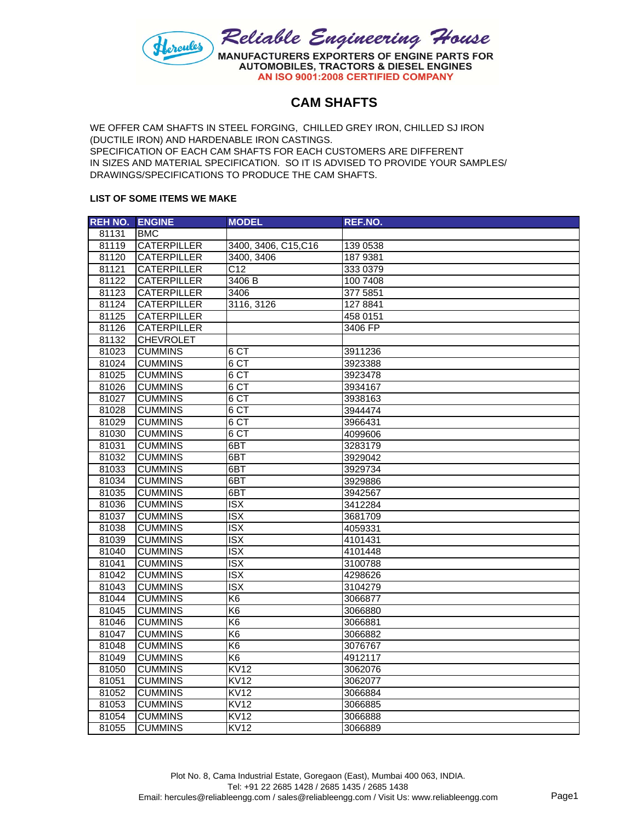

## **CAM SHAFTS**

WE OFFER CAM SHAFTS IN STEEL FORGING, CHILLED GREY IRON, CHILLED SJ IRON (DUCTILE IRON) AND HARDENABLE IRON CASTINGS. SPECIFICATION OF EACH CAM SHAFTS FOR EACH CUSTOMERS ARE DIFFERENT IN SIZES AND MATERIAL SPECIFICATION. SO IT IS ADVISED TO PROVIDE YOUR SAMPLES/ DRAWINGS/SPECIFICATIONS TO PRODUCE THE CAM SHAFTS.

## **LIST OF SOME ITEMS WE MAKE**

| <b>REH NO.</b> | <b>ENGINE</b>      | <b>MODEL</b>            | REF.NO.  |
|----------------|--------------------|-------------------------|----------|
| 81131          | <b>BMC</b>         |                         |          |
| 81119          | <b>CATERPILLER</b> | 3400, 3406, C15, C16    | 139 0538 |
| 81120          | CATERPILLER        | 3400, 3406              | 187 9381 |
| 81121          | <b>CATERPILLER</b> | C12                     | 333 0379 |
| 81122          | <b>CATERPILLER</b> | 3406 B                  | 100 7408 |
| 81123          | <b>CATERPILLER</b> | 3406                    | 377 5851 |
| 81124          | CATERPILLER        | 3116, 3126              | 127 8841 |
| 81125          | <b>CATERPILLER</b> |                         | 458 0151 |
| 81126          | <b>CATERPILLER</b> |                         | 3406 FP  |
| 81132          | <b>CHEVROLET</b>   |                         |          |
| 81023          | <b>CUMMINS</b>     | 6 CT                    | 3911236  |
| 81024          | <b>CUMMINS</b>     | 6 CT                    | 3923388  |
| 81025          | <b>CUMMINS</b>     | 6 CT                    | 3923478  |
| 81026          | <b>CUMMINS</b>     | 6 CT                    | 3934167  |
| 81027          | <b>CUMMINS</b>     | 6 CT                    | 3938163  |
| 81028          | <b>CUMMINS</b>     | 6 CT                    | 3944474  |
| 81029          | <b>CUMMINS</b>     | 6 <sub>CT</sub>         | 3966431  |
| 81030          | <b>CUMMINS</b>     | 6 CT                    | 4099606  |
| 81031          | <b>CUMMINS</b>     | $6B$ T                  | 3283179  |
| 81032          | <b>CUMMINS</b>     | 6BT                     | 3929042  |
| 81033          | <b>CUMMINS</b>     | 6BT                     | 3929734  |
| 81034          | <b>CUMMINS</b>     | 6BT                     | 3929886  |
| 81035          | <b>CUMMINS</b>     | 6BT                     | 3942567  |
| 81036          | <b>CUMMINS</b>     | $\overline{\text{ISX}}$ | 3412284  |
| 81037          | <b>CUMMINS</b>     | $\overline{\text{ISX}}$ | 3681709  |
| 81038          | <b>CUMMINS</b>     | $\overline{\text{ISX}}$ | 4059331  |
| 81039          | <b>CUMMINS</b>     | $\overline{\text{ISX}}$ | 4101431  |
| 81040          | <b>CUMMINS</b>     | $\overline{\text{ISX}}$ | 4101448  |
| 81041          | <b>CUMMINS</b>     | $\overline{\text{ISX}}$ | 3100788  |
| 81042          | <b>CUMMINS</b>     | $\overline{\text{ISX}}$ | 4298626  |
| 81043          | <b>CUMMINS</b>     | $\overline{\text{ISX}}$ | 3104279  |
| 81044          | <b>CUMMINS</b>     | K <sub>6</sub>          | 3066877  |
| 81045          | <b>CUMMINS</b>     | K6                      | 3066880  |
| 81046          | <b>CUMMINS</b>     | K <sub>6</sub>          | 3066881  |
| 81047          | <b>CUMMINS</b>     | K6                      | 3066882  |
| 81048          | <b>CUMMINS</b>     | K <sub>6</sub>          | 3076767  |
| 81049          | <b>CUMMINS</b>     | K6                      | 4912117  |
| 81050          | <b>CUMMINS</b>     | KVI2                    | 3062076  |
| 81051          | <b>CUMMINS</b>     | <b>KV12</b>             | 3062077  |
| 81052          | <b>CUMMINS</b>     | KVI2                    | 3066884  |
| 81053          | <b>CUMMINS</b>     | <b>KV12</b>             | 3066885  |
| 81054          | <b>CUMMINS</b>     | <b>KV12</b>             | 3066888  |
| 81055          | <b>CUMMINS</b>     | KV12                    | 3066889  |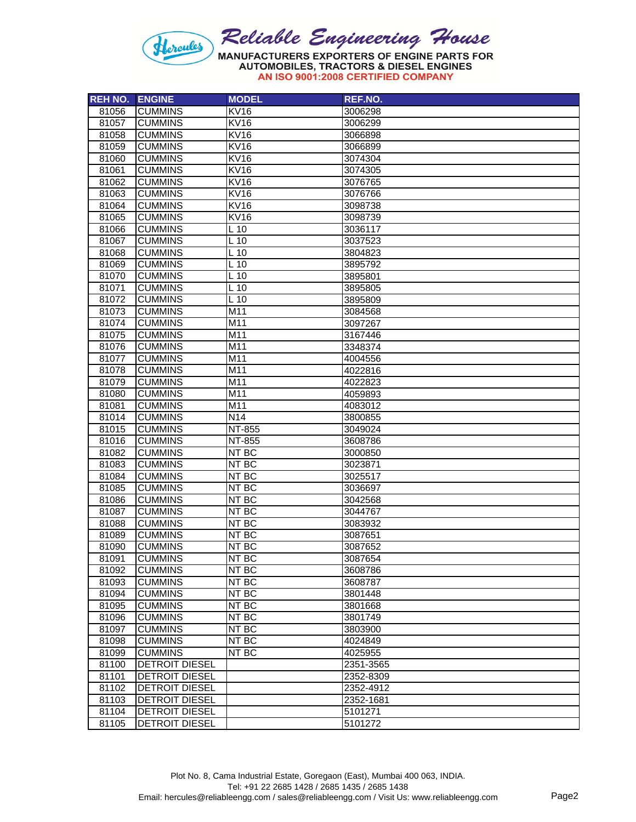

AN ISO 9001:2008 CERTIFIED COMPANY

| <b>REH NO.</b> | <b>ENGINE</b>                                  | <b>MODEL</b>    | REF.NO.                |
|----------------|------------------------------------------------|-----------------|------------------------|
| 81056          | <b>CUMMINS</b>                                 | <b>KV16</b>     | 3006298                |
| 81057          | <b>CUMMINS</b>                                 | <b>KV16</b>     | 3006299                |
| 81058          | <b>CUMMINS</b>                                 | <b>KV16</b>     | 3066898                |
| 81059          | <b>CUMMINS</b>                                 | <b>KV16</b>     | 3066899                |
| 81060          | <b>CUMMINS</b>                                 | <b>KV16</b>     | 3074304                |
| 81061          | <b>CUMMINS</b>                                 | <b>KV16</b>     | 3074305                |
| 81062          | <b>CUMMINS</b>                                 | <b>KV16</b>     | 3076765                |
| 81063          | <b>CUMMINS</b>                                 | <b>KV16</b>     | 3076766                |
| 81064          | <b>CUMMINS</b>                                 | <b>KV16</b>     | 3098738                |
| 81065          | <b>CUMMINS</b>                                 | <b>KV16</b>     | 3098739                |
| 81066          | <b>CUMMINS</b>                                 | L <sub>10</sub> | 3036117                |
| 81067          | <b>CUMMINS</b>                                 | L <sub>10</sub> | 3037523                |
| 81068          | <b>CUMMINS</b>                                 | $L$ 10          | 3804823                |
| 81069          | <b>CUMMINS</b>                                 | $L$ 10          | 3895792                |
| 81070          | <b>CUMMINS</b>                                 | $L$ 10          | 3895801                |
| 81071          | <b>CUMMINS</b>                                 | L <sub>10</sub> | 3895805                |
| 81072          | <b>CUMMINS</b>                                 | L 10            | 3895809                |
| 81073          | <b>CUMMINS</b>                                 | M11             | 3084568                |
| 81074          | <b>CUMMINS</b>                                 | M11             | 3097267                |
| 81075          | <b>CUMMINS</b>                                 | M <sub>11</sub> | 3167446                |
| 81076          | <b>CUMMINS</b>                                 | M11             | 3348374                |
| 81077          | <b>CUMMINS</b>                                 | M11             | 4004556                |
| 81078          | <b>CUMMINS</b>                                 | M11             | 4022816                |
| 81079          | <b>CUMMINS</b>                                 | M11             | 4022823                |
| 81080          | <b>CUMMINS</b>                                 | M11             | 4059893                |
| 81081          | <b>CUMMINS</b>                                 | M11             | 4083012                |
| 81014          | <b>CUMMINS</b>                                 | N <sub>14</sub> | 3800855                |
| 81015          | <b>CUMMINS</b>                                 | NT-855          | 3049024                |
| 81016          | <b>CUMMINS</b>                                 | NT-855          | 3608786                |
| 81082          | <b>CUMMINS</b>                                 | NT BC           | 3000850                |
| 81083          | <b>CUMMINS</b>                                 | NT BC           | 3023871                |
| 81084          | <b>CUMMINS</b>                                 | NT BC           | 3025517                |
| 81085          | <b>CUMMINS</b>                                 | NT BC           | 3036697                |
| 81086          | <b>CUMMINS</b>                                 | NT BC           | 3042568                |
| 81087          | <b>CUMMINS</b>                                 | NT BC           | 3044767                |
| 81088          | <b>CUMMINS</b>                                 | $NT$ BC         | 3083932                |
| 81089          | <b>CUMMINS</b>                                 | NT BC           | 3087651                |
| 81090          | <b>CUMMINS</b>                                 | NT BC           | 3087652                |
| 81091          | <b>CUMMINS</b>                                 | NT BC           | 3087654                |
| 81092          | <b>CUMMINS</b>                                 | NT BC           | 3608786                |
| 81093          | <b>CUMMINS</b>                                 | NT BC           | 3608787                |
| 81094          | <b>CUMMINS</b>                                 | NT BC           | 3801448                |
| 81095          | <b>CUMMINS</b>                                 | NT BC           | 3801668                |
| 81096          | <b>CUMMINS</b>                                 | NT BC           | 3801749                |
| 81097          | <b>CUMMINS</b>                                 | NT BC           | 3803900                |
| 81098          | <b>CUMMINS</b>                                 | NT BC           | 4024849                |
| 81099          | <b>CUMMINS</b>                                 | NT BC           | 4025955                |
| 81100<br>81101 | <b>DETROIT DIESEL</b><br><b>DETROIT DIESEL</b> |                 | 2351-3565<br>2352-8309 |
| 81102          | <b>DETROIT DIESEL</b>                          |                 | 2352-4912              |
| 81103          | <b>DETROIT DIESEL</b>                          |                 | 2352-1681              |
| 81104          | <b>DETROIT DIESEL</b>                          |                 | 5101271                |
| 81105          | <b>DETROIT DIESEL</b>                          |                 | 5101272                |
|                |                                                |                 |                        |